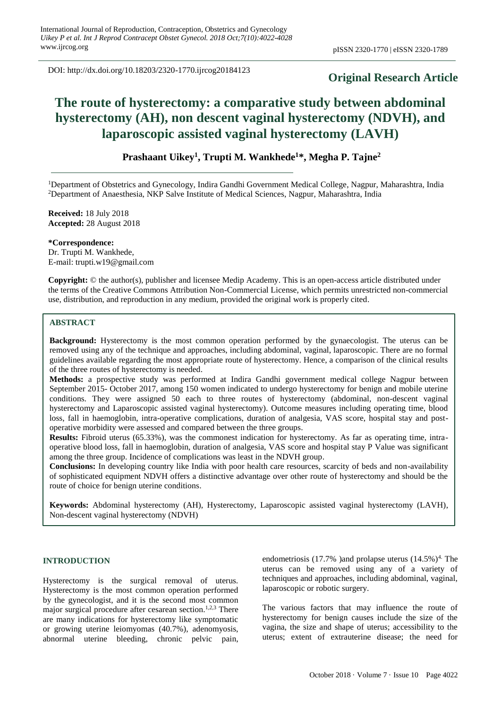DOI: http://dx.doi.org/10.18203/2320-1770.ijrcog20184123

# **Original Research Article**

# **The route of hysterectomy: a comparative study between abdominal hysterectomy (AH), non descent vaginal hysterectomy (NDVH), and laparoscopic assisted vaginal hysterectomy (LAVH)**

# **Prashaant Uikey<sup>1</sup> , Trupti M. Wankhede<sup>1</sup>\*, Megha P. Tajne<sup>2</sup>**

<sup>1</sup>Department of Obstetrics and Gynecology, Indira Gandhi Government Medical College, Nagpur, Maharashtra, India <sup>2</sup>Department of Anaesthesia, NKP Salve Institute of Medical Sciences, Nagpur, Maharashtra, India

**Received:** 18 July 2018 **Accepted:** 28 August 2018

**\*Correspondence:** Dr. Trupti M. Wankhede, E-mail: trupti.w19@gmail.com

**Copyright:** © the author(s), publisher and licensee Medip Academy. This is an open-access article distributed under the terms of the Creative Commons Attribution Non-Commercial License, which permits unrestricted non-commercial use, distribution, and reproduction in any medium, provided the original work is properly cited.

#### **ABSTRACT**

**Background:** Hysterectomy is the most common operation performed by the gynaecologist. The uterus can be removed using any of the technique and approaches, including abdominal, vaginal, laparoscopic. There are no formal guidelines available regarding the most appropriate route of hysterectomy. Hence, a comparison of the clinical results of the three routes of hysterectomy is needed.

**Methods:** a prospective study was performed at Indira Gandhi government medical college Nagpur between September 2015- October 2017, among 150 women indicated to undergo hysterectomy for benign and mobile uterine conditions. They were assigned 50 each to three routes of hysterectomy (abdominal, non-descent vaginal hysterectomy and Laparoscopic assisted vaginal hysterectomy). Outcome measures including operating time, blood loss, fall in haemoglobin, intra-operative complications, duration of analgesia, VAS score, hospital stay and postoperative morbidity were assessed and compared between the three groups.

**Results:** Fibroid uterus (65.33%), was the commonest indication for hysterectomy. As far as operating time, intraoperative blood loss, fall in haemoglobin, duration of analgesia, VAS score and hospital stay P Value was significant among the three group. Incidence of complications was least in the NDVH group.

**Conclusions:** In developing country like India with poor health care resources, scarcity of beds and non-availability of sophisticated equipment NDVH offers a distinctive advantage over other route of hysterectomy and should be the route of choice for benign uterine conditions.

**Keywords:** Abdominal hysterectomy (AH), Hysterectomy, Laparoscopic assisted vaginal hysterectomy (LAVH), Non-descent vaginal hysterectomy (NDVH)

# **INTRODUCTION**

Hysterectomy is the surgical removal of uterus. Hysterectomy is the most common operation performed by the gynecologist, and it is the second most common major surgical procedure after cesarean section.<sup>1,2,3</sup> There are many indications for hysterectomy like symptomatic or growing uterine leiomyomas (40.7%), adenomyosis, abnormal uterine bleeding, chronic pelvic pain, endometriosis (17.7%) and prolapse uterus  $(14.5\%)$ <sup>4.</sup> The uterus can be removed using any of a variety of techniques and approaches, including abdominal, vaginal, laparoscopic or robotic surgery.

The various factors that may influence the route of hysterectomy for benign causes include the size of the vagina, the size and shape of uterus; accessibility to the uterus; extent of extrauterine disease; the need for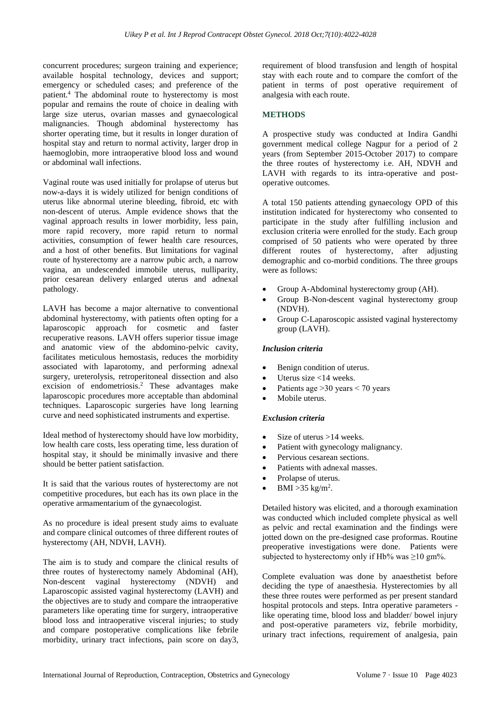concurrent procedures; surgeon training and experience; available hospital technology, devices and support; emergency or scheduled cases; and preference of the patient.<sup>4</sup> The abdominal route to hysterectomy is most popular and remains the route of choice in dealing with large size uterus, ovarian masses and gynaecological malignancies. Though abdominal hysterectomy has shorter operating time, but it results in longer duration of hospital stay and return to normal activity, larger drop in haemoglobin, more intraoperative blood loss and wound or abdominal wall infections.

Vaginal route was used initially for prolapse of uterus but now-a-days it is widely utilized for benign conditions of uterus like abnormal uterine bleeding, fibroid, etc with non-descent of uterus. Ample evidence shows that the vaginal approach results in lower morbidity, less pain, more rapid recovery, more rapid return to normal activities, consumption of fewer health care resources, and a host of other benefits. But limitations for vaginal route of hysterectomy are a narrow pubic arch, a narrow vagina, an undescended immobile uterus, nulliparity, prior cesarean delivery enlarged uterus and adnexal pathology.

LAVH has become a major alternative to conventional abdominal hysterectomy, with patients often opting for a laparoscopic approach for cosmetic and faster recuperative reasons. LAVH offers superior tissue image and anatomic view of the abdomino-pelvic cavity, facilitates meticulous hemostasis, reduces the morbidity associated with laparotomy, and performing adnexal surgery, ureterolysis, retroperitoneal dissection and also excision of endometriosis. <sup>2</sup> These advantages make laparoscopic procedures more acceptable than abdominal techniques. Laparoscopic surgeries have long learning curve and need sophisticated instruments and expertise.

Ideal method of hysterectomy should have low morbidity, low health care costs, less operating time, less duration of hospital stay, it should be minimally invasive and there should be better patient satisfaction.

It is said that the various routes of hysterectomy are not competitive procedures, but each has its own place in the operative armamentarium of the gynaecologist.

As no procedure is ideal present study aims to evaluate and compare clinical outcomes of three different routes of hysterectomy (AH, NDVH, LAVH).

The aim is to study and compare the clinical results of three routes of hysterectomy namely Abdominal (AH), Non-descent vaginal hysterectomy (NDVH) and Laparoscopic assisted vaginal hysterectomy (LAVH) and the objectives are to study and compare the intraoperative parameters like operating time for surgery, intraoperative blood loss and intraoperative visceral injuries; to study and compare postoperative complications like febrile morbidity, urinary tract infections, pain score on day3, requirement of blood transfusion and length of hospital stay with each route and to compare the comfort of the patient in terms of post operative requirement of analgesia with each route.

# **METHODS**

A prospective study was conducted at Indira Gandhi government medical college Nagpur for a period of 2 years (from September 2015-October 2017) to compare the three routes of hysterectomy i.e. AH, NDVH and LAVH with regards to its intra-operative and postoperative outcomes.

A total 150 patients attending gynaecology OPD of this institution indicated for hysterectomy who consented to participate in the study after fulfilling inclusion and exclusion criteria were enrolled for the study. Each group comprised of 50 patients who were operated by three different routes of hysterectomy, after adjusting demographic and co-morbid conditions. The three groups were as follows:

- Group A-Abdominal hysterectomy group (AH).
- Group B-Non-descent vaginal hysterectomy group (NDVH).
- Group C-Laparoscopic assisted vaginal hysterectomy group (LAVH).

#### *Inclusion criteria*

- Benign condition of uterus.
- Uterus size <14 weeks.
- Patients age  $>30$  years  $< 70$  years
- Mobile uterus.

#### *Exclusion criteria*

- Size of uterus  $>14$  weeks.
- Patient with gynecology malignancy.
- Pervious cesarean sections.
- Patients with adnexal masses.
- Prolapse of uterus.
- BMI > 35 kg/m<sup>2</sup>.

Detailed history was elicited, and a thorough examination was conducted which included complete physical as well as pelvic and rectal examination and the findings were jotted down on the pre-designed case proformas. Routine preoperative investigations were done. Patients were subjected to hysterectomy only if Hb% was  $\geq$ 10 gm%.

Complete evaluation was done by anaesthetist before deciding the type of anaesthesia. Hysterectomies by all these three routes were performed as per present standard hospital protocols and steps. Intra operative parameters like operating time, blood loss and bladder/ bowel injury and post-operative parameters viz, febrile morbidity, urinary tract infections, requirement of analgesia, pain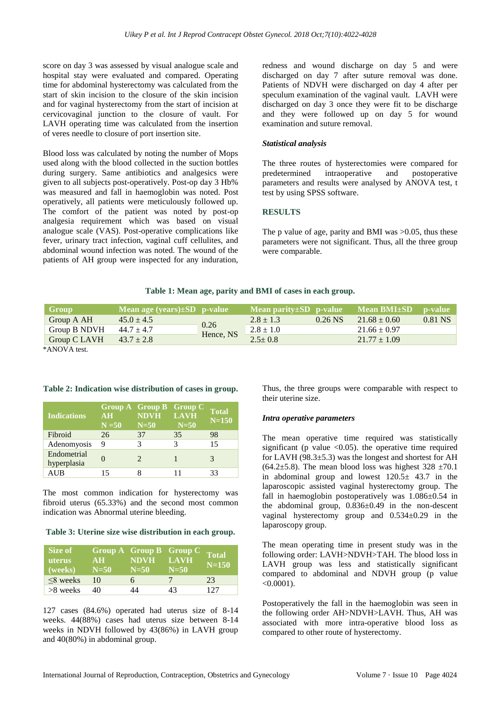score on day 3 was assessed by visual analogue scale and hospital stay were evaluated and compared. Operating time for abdominal hysterectomy was calculated from the start of skin incision to the closure of the skin incision and for vaginal hysterectomy from the start of incision at cervicovaginal junction to the closure of vault. For LAVH operating time was calculated from the insertion of veres needle to closure of port insertion site.

Blood loss was calculated by noting the number of Mops used along with the blood collected in the suction bottles during surgery. Same antibiotics and analgesics were given to all subjects post-operatively. Post-op day 3 Hb% was measured and fall in haemoglobin was noted. Post operatively, all patients were meticulously followed up. The comfort of the patient was noted by post-op analgesia requirement which was based on visual analogue scale (VAS). Post-operative complications like fever, urinary tract infection, vaginal cuff cellulites, and abdominal wound infection was noted. The wound of the patients of AH group were inspected for any induration, redness and wound discharge on day 5 and were discharged on day 7 after suture removal was done. Patients of NDVH were discharged on day 4 after per speculum examination of the vaginal vault. LAVH were discharged on day 3 once they were fit to be discharge and they were followed up on day 5 for wound examination and suture removal.

#### *Statistical analysis*

The three routes of hysterectomies were compared for predetermined intraoperative and postoperative parameters and results were analysed by ANOVA test, t test by using SPSS software.

#### **RESULTS**

The p value of age, parity and BMI was  $>0.05$ , thus these parameters were not significant. Thus, all the three group were comparable.

#### **Table 1: Mean age, parity and BMI of cases in each group.**

| <b>Group</b>                    | Mean age $(years) \pm SD$ p-value |           | Mean parity $\pm SD$ p-value |           | <b>Mean BMI±SD</b> | p-value   |
|---------------------------------|-----------------------------------|-----------|------------------------------|-----------|--------------------|-----------|
| Group A AH                      | $45.0 \pm 4.5$                    |           | $2.8 \pm 1.3$                | $0.26$ NS | $21.68 \pm 0.60$   | $0.81$ NS |
| Group B NDVH                    | $44.7 \pm 4.7$                    | 0.26      | $2.8 \pm 1.0$                |           | $21.66 \pm 0.97$   |           |
| Group C LAVH                    | $43.7 \pm 2.8$                    | Hence, NS | $2.5 \pm 0.8$                |           | $21.77 \pm 1.09$   |           |
| $*$ A MOVIA $+$ 00 <sup>+</sup> |                                   |           |                              |           |                    |           |

ANOVA test.

# **Table 2: Indication wise distribution of cases in group.**

| Indications                | AH<br>$N = 50$ | <b>Group A</b> Group B Group C<br><b>NDVH</b><br>$N=50$ | <b>LAVH</b><br>$N=50$ | <b>Total</b><br>$N = 150$ |
|----------------------------|----------------|---------------------------------------------------------|-----------------------|---------------------------|
| Fibroid                    | 26             | 37                                                      | 35                    | 98                        |
| Adenomyosis                | 9              | 3                                                       | 3                     | 15                        |
| Endometrial<br>hyperplasia |                | $\mathcal{D}_{\mathcal{A}}$                             |                       | 3                         |
| <b>AUB</b>                 | 15             |                                                         |                       | 33                        |

The most common indication for hysterectomy was fibroid uterus (65.33%) and the second most common indication was Abnormal uterine bleeding.

#### **Table 3: Uterine size wise distribution in each group.**

| Size of<br>uterus<br>(weeks) | AH.<br>$N = 50$ | $G$ roup $\overline{A}$ Group B Group C<br><b>NDVH</b><br>$N = 50$ | <b>LAVH</b><br>$N=50$ | <b>Total</b><br>$N = 150$ |
|------------------------------|-----------------|--------------------------------------------------------------------|-----------------------|---------------------------|
| $\leq$ 8 weeks               | 10              | h                                                                  |                       | 23                        |
| $>8$ weeks                   | 40              | 44                                                                 | 43                    | 127                       |

127 cases (84.6%) operated had uterus size of 8-14 weeks. 44(88%) cases had uterus size between 8-14 weeks in NDVH followed by 43(86%) in LAVH group and 40(80%) in abdominal group.

Thus, the three groups were comparable with respect to their uterine size.

# *Intra operative parameters*

The mean operative time required was statistically significant (p value  $\langle 0.05 \rangle$ ). the operative time required for LAVH ( $98.3 \pm 5.3$ ) was the longest and shortest for AH (64.2 $\pm$ 5.8). The mean blood loss was highest 328  $\pm$ 70.1 in abdominal group and lowest  $120.5 \pm 43.7$  in the laparoscopic assisted vaginal hysterectomy group. The fall in haemoglobin postoperatively was 1.086±0.54 in the abdominal group,  $0.836 \pm 0.49$  in the non-descent vaginal hysterectomy group and 0.534±0.29 in the laparoscopy group.

The mean operating time in present study was in the following order: LAVH>NDVH>TAH. The blood loss in LAVH group was less and statistically significant compared to abdominal and NDVH group (p value  $< 0.0001$ ).

Postoperatively the fall in the haemoglobin was seen in the following order AH>NDVH>LAVH. Thus, AH was associated with more intra-operative blood loss as compared to other route of hysterectomy.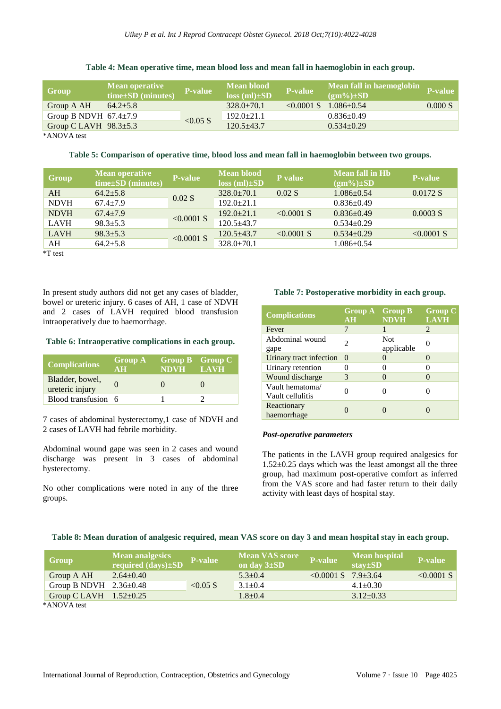# **Table 4: Mean operative time, mean blood loss and mean fall in haemoglobin in each group.**

| Group                       | <b>Mean operative</b><br>$time \pm SD$ (minutes) | <b>P-value</b> | <b>Mean blood</b><br>$loss (ml) \pm SD$ | <b>P-value</b> | Mean fall in haemoglobin P-value<br>$(gm\%)\pm SD$ |         |
|-----------------------------|--------------------------------------------------|----------------|-----------------------------------------|----------------|----------------------------------------------------|---------|
| Group A AH                  | $64.2 + 5.8$                                     |                | $328.0+70.1$                            | $< 0.0001$ S   | $1.086 \pm 0.54$                                   | 0.000 S |
| Group B NDVH $67.4\pm7.9$   |                                                  |                | $192.0 \pm 21.1$                        |                | $0.836 \pm 0.49$                                   |         |
| Group C LAVH $98.3 \pm 5.3$ |                                                  | < 0.05 S       | $120.5 + 43.7$                          |                | $0.534+0.29$                                       |         |
| 1.1370771                   |                                                  |                |                                         |                |                                                    |         |

\*ANOVA test

#### **Table 5: Comparison of operative time, blood loss and mean fall in haemoglobin between two groups.**

| Group       | <b>Mean operative</b><br>time±SD (minutes) | <b>P-value</b> | <b>Mean blood</b><br>$loss (ml) \pm SD$ | P value      | <b>Mean fall in Hb</b><br>$(gm\%)\pm SD$ | <b>P-value</b> |
|-------------|--------------------------------------------|----------------|-----------------------------------------|--------------|------------------------------------------|----------------|
| AH          | $64.2 + 5.8$                               | 0.02 S         | $328.0+70.1$                            | $0.02$ S     | $1.086 \pm 0.54$                         | 0.0172 S       |
| <b>NDVH</b> | $67.4 \pm 7.9$                             |                | $192.0 \pm 21.1$                        |              | $0.836 \pm 0.49$                         |                |
| <b>NDVH</b> | $67.4 \pm 7.9$                             |                | $192.0+21.1$                            | $< 0.0001$ S | $0.836 \pm 0.49$                         | 0.0003 S       |
| <b>LAVH</b> | $98.3 \pm 5.3$                             | < 0.0001 S     | $120.5 \pm 43.7$                        |              | $0.534 \pm 0.29$                         |                |
| <b>LAVH</b> | $98.3 \pm 5.3$                             |                | $120.5 + 43.7$                          | $< 0.0001$ S | $0.534 \pm 0.29$                         | $< 0.0001$ S   |
| AH          | $64.2 \pm 5.8$                             | $< 0.0001$ S   | $328.0 \pm 70.1$                        |              | $1.086 \pm 0.54$                         |                |

\*T test

In present study authors did not get any cases of bladder, bowel or ureteric injury. 6 cases of AH, 1 case of NDVH and 2 cases of LAVH required blood transfusion intraoperatively due to haemorrhage.

#### **Table 6: Intraoperative complications in each group.**

| <b>Complications</b>               | <b>Group A</b><br><b>AH</b> | <b>Group B</b> Group C<br><b>NDVH</b> | <b>LAVH</b> |
|------------------------------------|-----------------------------|---------------------------------------|-------------|
| Bladder, bowel,<br>ureteric injury |                             |                                       |             |
| Blood transfusion 6                |                             |                                       |             |

7 cases of abdominal hysterectomy,1 case of NDVH and 2 cases of LAVH had febrile morbidity.

Abdominal wound gape was seen in 2 cases and wound discharge was present in 3 cases of abdominal hysterectomy.

No other complications were noted in any of the three groups.

# **Table 7: Postoperative morbidity in each group.**

| <b>Complications</b>                | <b>AH</b>      | Group $A^-$ Group B<br><b>NDVH</b> | <b>Group C</b><br><b>LAVH</b> |
|-------------------------------------|----------------|------------------------------------|-------------------------------|
| Fever                               |                |                                    | 2                             |
| Abdominal wound<br>gape             | $\mathfrak{D}$ | <b>Not</b><br>applicable           |                               |
| Urinary tract infection             | $\Omega$       | $\mathcal{O}$                      |                               |
| Urinary retention                   |                | 0                                  |                               |
| Wound discharge                     | 3              | $\mathcal{O}$                      |                               |
| Vault hematoma/<br>Vault cellulitis |                |                                    |                               |
| Reactionary<br>haemorrhage          |                |                                    |                               |

#### *Post-operative parameters*

The patients in the LAVH group required analgesics for 1.52±0.25 days which was the least amongst all the three group, had maximum post-operative comfort as inferred from the VAS score and had faster return to their daily activity with least days of hospital stay.

# **Table 8: Mean duration of analgesic required, mean VAS score on day 3 and mean hospital stay in each group.**

| <b>Group</b>               | <b>Mean analgesics</b><br>required $(days) \pm SD$ | <b>P-value</b> | <b>Mean VAS score</b><br>on day $3\pm SD$ | <b>P-value</b> | <b>Mean hospital</b><br>$star\pm SD$ | <b>P-value</b> |
|----------------------------|----------------------------------------------------|----------------|-------------------------------------------|----------------|--------------------------------------|----------------|
| Group A AH                 | $2.64 + 0.40$                                      |                | $5.3 + 0.4$                               | $< 0.0001$ S   | $7.9 + 3.64$                         | $< 0.0001$ S   |
| Group B NDVH $2.36\pm0.48$ |                                                    | < 0.05 S       | $3.1 \pm 0.4$                             |                | $4.1 \pm 0.30$                       |                |
| Group C LAVH               | $1.52 \pm 0.25$                                    |                | $1.8 + 0.4$                               |                | $3.12 + 0.33$                        |                |

\*ANOVA test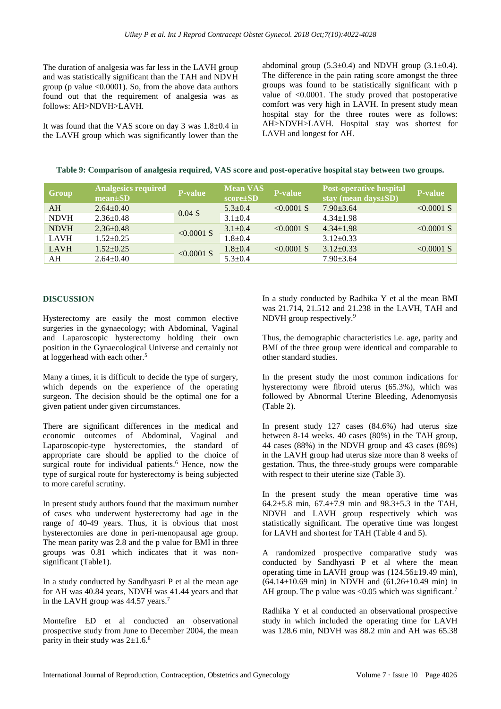The duration of analgesia was far less in the LAVH group and was statistically significant than the TAH and NDVH group (p value <0.0001). So, from the above data authors found out that the requirement of analgesia was as follows: AH>NDVH>LAVH.

It was found that the VAS score on day 3 was 1.8±0.4 in the LAVH group which was significantly lower than the abdominal group  $(5.3\pm0.4)$  and NDVH group  $(3.1\pm0.4)$ . The difference in the pain rating score amongst the three groups was found to be statistically significant with p value of <0.0001. The study proved that postoperative comfort was very high in LAVH. In present study mean hospital stay for the three routes were as follows: AH>NDVH>LAVH. Hospital stay was shortest for LAVH and longest for AH.

| Table 9: Comparison of analgesia required, VAS score and post-operative hospital stay between two groups. |  |  |  |
|-----------------------------------------------------------------------------------------------------------|--|--|--|
|-----------------------------------------------------------------------------------------------------------|--|--|--|

| Group       | <b>Analgesics required</b><br>$mean \pm SD$ | <b>P-value</b> | <b>Mean VAS</b><br>$score \pm SD$ | <b>P-value</b> | <b>Post-operative hospital</b><br>stay (mean days $\pm SD$ ) | <b>P-value</b> |
|-------------|---------------------------------------------|----------------|-----------------------------------|----------------|--------------------------------------------------------------|----------------|
| AH          | $2.64 + 0.40$                               | 0.04 S         | $5.3 + 0.4$                       | $< 0.0001$ S   | $7.90 \pm 3.64$                                              | $< 0.0001$ S   |
| <b>NDVH</b> | $2.36\pm0.48$                               |                | $3.1 \pm 0.4$                     |                | $4.34 \pm 1.98$                                              |                |
| <b>NDVH</b> | $2.36 + 0.48$                               |                | $3.1 + 0.4$                       | $< 0.0001$ S   | $4.34 + 1.98$                                                | $< 0.0001$ S   |
| <b>LAVH</b> | $1.52+0.25$                                 | $< 0.0001$ S   | $1.8 + 0.4$                       |                | $3.12 \pm 0.33$                                              |                |
| <b>LAVH</b> | $1.52 \pm 0.25$                             |                | $1.8 + 0.4$                       | $< 0.0001$ S   | $3.12 \pm 0.33$                                              | $< 0.0001$ S   |
| AH          | $2.64 \pm 0.40$                             | $< 0.0001$ S   | $5.3 \pm 0.4$                     |                | $7.90 \pm 3.64$                                              |                |

#### **DISCUSSION**

Hysterectomy are easily the most common elective surgeries in the gynaecology; with Abdominal, Vaginal and Laparoscopic hysterectomy holding their own position in the Gynaecological Universe and certainly not at loggerhead with each other. 5

Many a times, it is difficult to decide the type of surgery, which depends on the experience of the operating surgeon. The decision should be the optimal one for a given patient under given circumstances.

There are significant differences in the medical and economic outcomes of Abdominal, Vaginal and Laparoscopic-type hysterectomies, the standard of appropriate care should be applied to the choice of surgical route for individual patients. <sup>6</sup> Hence, now the type of surgical route for hysterectomy is being subjected to more careful scrutiny.

In present study authors found that the maximum number of cases who underwent hysterectomy had age in the range of 40-49 years. Thus, it is obvious that most hysterectomies are done in peri-menopausal age group. The mean parity was 2.8 and the p value for BMI in three groups was 0.81 which indicates that it was nonsignificant (Table1).

In a study conducted by Sandhyasri P et al the mean age for AH was 40.84 years, NDVH was 41.44 years and that in the LAVH group was 44.57 years.<sup>7</sup>

Montefire ED et al conducted an observational prospective study from June to December 2004, the mean parity in their study was  $2\pm1.6$ .<sup>8</sup>

In a study conducted by Radhika Y et al the mean BMI was 21.714, 21.512 and 21.238 in the LAVH, TAH and NDVH group respectively.<sup>9</sup>

Thus, the demographic characteristics i.e. age, parity and BMI of the three group were identical and comparable to other standard studies.

In the present study the most common indications for hysterectomy were fibroid uterus (65.3%), which was followed by Abnormal Uterine Bleeding, Adenomyosis (Table 2).

In present study 127 cases (84.6%) had uterus size between 8-14 weeks. 40 cases (80%) in the TAH group, 44 cases (88%) in the NDVH group and 43 cases (86%) in the LAVH group had uterus size more than 8 weeks of gestation. Thus, the three-study groups were comparable with respect to their uterine size (Table 3).

In the present study the mean operative time was 64.2 $\pm$ 5.8 min, 67.4 $\pm$ 7.9 min and 98.3 $\pm$ 5.3 in the TAH, NDVH and LAVH group respectively which was statistically significant. The operative time was longest for LAVH and shortest for TAH (Table 4 and 5).

A randomized prospective comparative study was conducted by Sandhyasri P et al where the mean operating time in LAVH group was (124.56±19.49 min),  $(64.14 \pm 10.69 \text{ min})$  in NDVH and  $(61.26 \pm 10.49 \text{ min})$  in AH group. The p value was  $\leq 0.05$  which was significant.<sup>7</sup>

Radhika Y et al conducted an observational prospective study in which included the operating time for LAVH was 128.6 min, NDVH was 88.2 min and AH was 65.38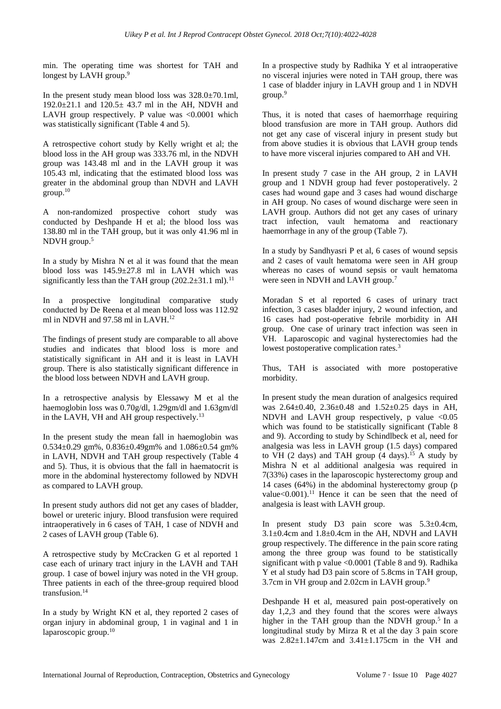min. The operating time was shortest for TAH and longest by LAVH group.<sup>9</sup>

In the present study mean blood loss was 328.0±70.1ml, 192.0±21.1 and 120.5± 43.7 ml in the AH, NDVH and LAVH group respectively. P value was <0.0001 which was statistically significant (Table 4 and 5).

A retrospective cohort study by Kelly wright et al; the blood loss in the AH group was 333.76 ml, in the NDVH group was 143.48 ml and in the LAVH group it was 105.43 ml, indicating that the estimated blood loss was greater in the abdominal group than NDVH and LAVH group.<sup>10</sup>

A non-randomized prospective cohort study was conducted by Deshpande H et al; the blood loss was 138.80 ml in the TAH group, but it was only 41.96 ml in NDVH group.<sup>5</sup>

In a study by Mishra N et al it was found that the mean blood loss was 145.9±27.8 ml in LAVH which was significantly less than the TAH group  $(202.2\pm31.1 \text{ ml})$ .<sup>11</sup>

In a prospective longitudinal comparative study conducted by De Reena et al mean blood loss was 112.92 ml in NDVH and 97.58 ml in LAVH.<sup>12</sup>

The findings of present study are comparable to all above studies and indicates that blood loss is more and statistically significant in AH and it is least in LAVH group. There is also statistically significant difference in the blood loss between NDVH and LAVH group.

In a retrospective analysis by Elessawy M et al the haemoglobin loss was 0.70g/dl, 1.29gm/dl and 1.63gm/dl in the LAVH, VH and AH group respectively.<sup>13</sup>

In the present study the mean fall in haemoglobin was  $0.534\pm0.29$  gm%,  $0.836\pm0.49$ gm% and  $1.086\pm0.54$  gm% in LAVH, NDVH and TAH group respectively (Table 4 and 5). Thus, it is obvious that the fall in haematocrit is more in the abdominal hysterectomy followed by NDVH as compared to LAVH group.

In present study authors did not get any cases of bladder, bowel or ureteric injury. Blood transfusion were required intraoperatively in 6 cases of TAH, 1 case of NDVH and 2 cases of LAVH group (Table 6).

A retrospective study by McCracken G et al reported 1 case each of urinary tract injury in the LAVH and TAH group. 1 case of bowel injury was noted in the VH group. Three patients in each of the three-group required blood transfusion.<sup>14</sup>

In a study by Wright KN et al, they reported 2 cases of organ injury in abdominal group, 1 in vaginal and 1 in laparoscopic group.<sup>10</sup>

In a prospective study by Radhika Y et al intraoperative no visceral injuries were noted in TAH group, there was 1 case of bladder injury in LAVH group and 1 in NDVH group.<sup>9</sup>

Thus, it is noted that cases of haemorrhage requiring blood transfusion are more in TAH group. Authors did not get any case of visceral injury in present study but from above studies it is obvious that LAVH group tends to have more visceral injuries compared to AH and VH.

In present study 7 case in the AH group, 2 in LAVH group and 1 NDVH group had fever postoperatively. 2 cases had wound gape and 3 cases had wound discharge in AH group. No cases of wound discharge were seen in LAVH group. Authors did not get any cases of urinary tract infection, vault hematoma and reactionary haemorrhage in any of the group (Table 7).

In a study by Sandhyasri P et al, 6 cases of wound sepsis and 2 cases of vault hematoma were seen in AH group whereas no cases of wound sepsis or vault hematoma were seen in NDVH and LAVH group.<sup>7</sup>

Moradan S et al reported 6 cases of urinary tract infection, 3 cases bladder injury, 2 wound infection, and 16 cases had post-operative febrile morbidity in AH group. One case of urinary tract infection was seen in VH. Laparoscopic and vaginal hysterectomies had the lowest postoperative complication rates.<sup>3</sup>

Thus, TAH is associated with more postoperative morbidity.

In present study the mean duration of analgesics required was 2.64±0.40, 2.36±0.48 and 1.52±0.25 days in AH, NDVH and LAVH group respectively, p value <0.05 which was found to be statistically significant (Table 8 and 9). According to study by Schindlbeck et al, need for analgesia was less in LAVH group (1.5 days) compared to VH (2 days) and TAH group (4 days).<sup>15</sup> A study by Mishra N et al additional analgesia was required in 7(33%) cases in the laparoscopic hysterectomy group and 14 cases (64%) in the abdominal hysterectomy group (p value $< 0.001$ ).<sup>11</sup> Hence it can be seen that the need of analgesia is least with LAVH group.

In present study D3 pain score was 5.3±0.4cm, 3.1±0.4cm and 1.8±0.4cm in the AH, NDVH and LAVH group respectively. The difference in the pain score rating among the three group was found to be statistically significant with p value <0.0001 (Table 8 and 9). Radhika Y et al study had D3 pain score of 5.8cms in TAH group, 3.7cm in VH group and 2.02cm in LAVH group.<sup>9</sup>

Deshpande H et al, measured pain post-operatively on day 1,2,3 and they found that the scores were always higher in the TAH group than the NDVH group.<sup>5</sup> In a longitudinal study by Mirza R et al the day 3 pain score was 2.82±1.147cm and 3.41±1.175cm in the VH and